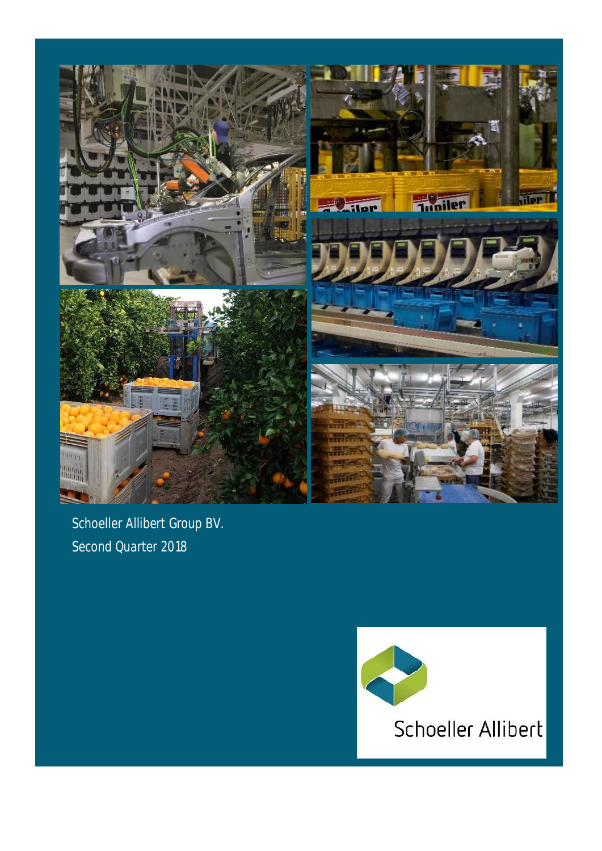

Schoeller Allibert Group BV. Second Quarter 2018

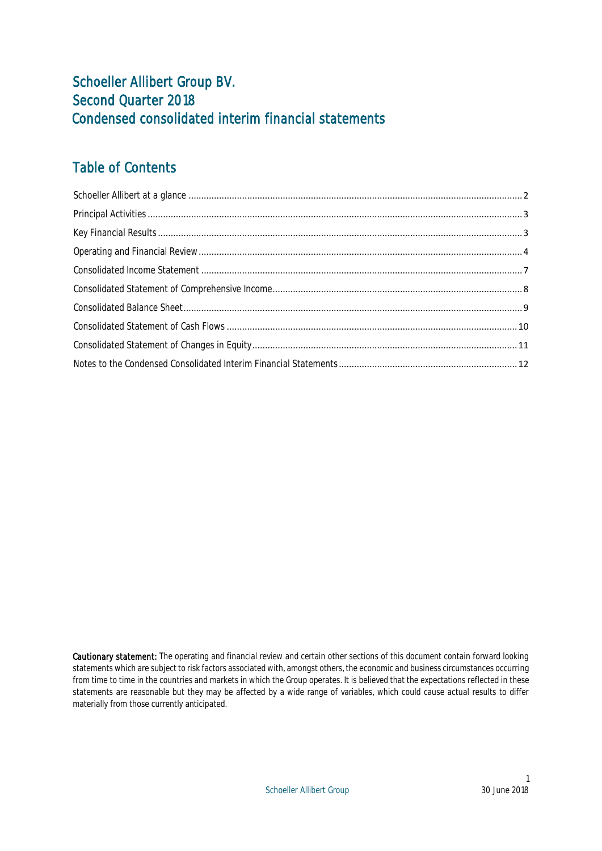## Schoeller Allibert Group BV. Second Quarter 2018 Condensed consolidated interim financial statements

## Table of Contents

Cautionary statement: The operating and financial review and certain other sections of this document contain forward looking statements which are subject to risk factors associated with, amongst others, the economic and business circumstances occurring from time to time in the countries and markets in which the Group operates. It is believed that the expectations reflected in these statements are reasonable but they may be affected by a wide range of variables, which could cause actual results to differ materially from those currently anticipated.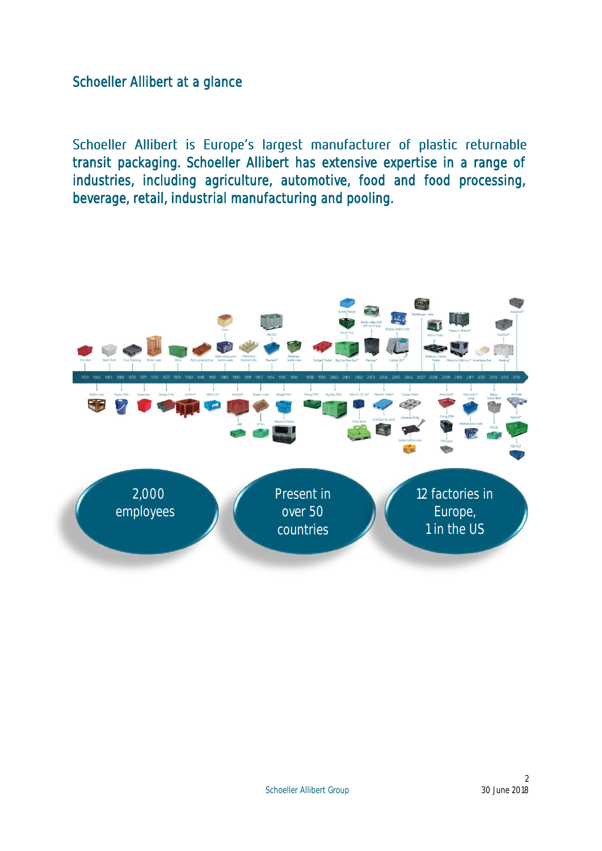<span id="page-2-0"></span>Schoeller Allibert at a glance

Schoeller Allibert is Europe's largest manufacturer of plastic returnable transit packaging. Schoeller Allibert has extensive expertise in a range of industries, including agriculture, automotive, food and food processing, beverage, retail, industrial manufacturing and pooling.

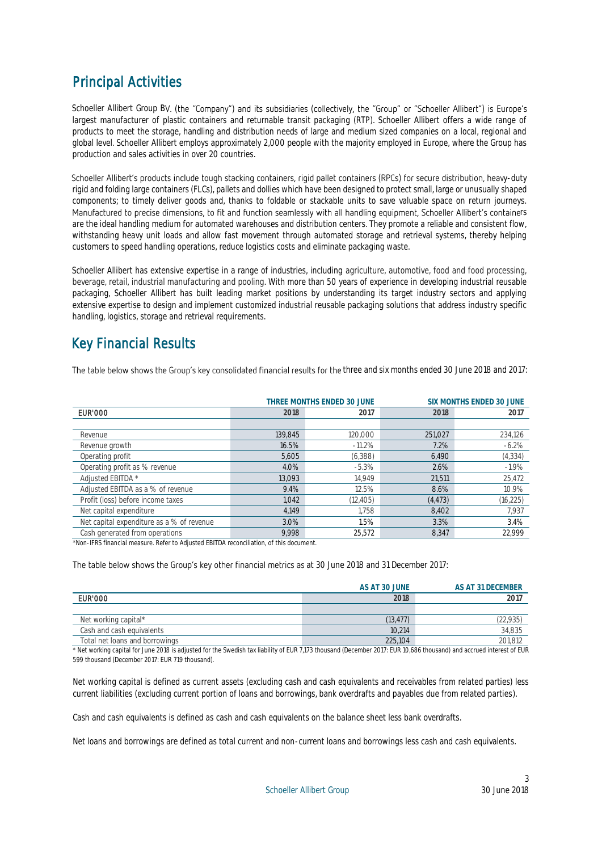## <span id="page-3-0"></span>Principal Activities

Schoeller Allibert Group BV. (the "Company") and its subsidiaries (collectively, the "Group" or "Schoeller Allibert") is Europe's largest manufacturer of plastic containers and returnable transit packaging (RTP). Schoeller Allibert offers a wide range of products to meet the storage, handling and distribution needs of large and medium sized companies on a local, regional and global level. Schoeller Allibert employs approximately 2,000 people with the majority employed in Europe, where the Group has production and sales activities in over 20 countries.

Schoeller Allibert's products include tough stacking containers, rigid pallet containers (RPCs) for secure distribution, heavy-duty rigid and folding large containers (FLCs), pallets and dollies which have been designed to protect small, large or unusually shaped components; to timely deliver goods and, thanks to foldable or stackable units to save valuable space on return journeys. Manufactured to precise dimensions, to fit and function seamlessly with all handling equipment, Schoeller Allibert's containers are the ideal handling medium for automated warehouses and distribution centers. They promote a reliable and consistent flow, withstanding heavy unit loads and allow fast movement through automated storage and retrieval systems, thereby helping customers to speed handling operations, reduce logistics costs and eliminate packaging waste.

Schoeller Allibert has extensive expertise in a range of industries, including agriculture, automotive, food and food processing, beverage, retail, industrial manufacturing and pooling. With more than 50 years of experience in developing industrial reusable packaging, Schoeller Allibert has built leading market positions by understanding its target industry sectors and applying extensive expertise to design and implement customized industrial reusable packaging solutions that address industry specific handling, logistics, storage and retrieval requirements.

## <span id="page-3-1"></span>Key Financial Results

The table below shows the Group's key consolidated financial results for the three and six months ended 30 June 2018 and 2017:

|                                           |                      | THREE MONTHS ENDED 30 JUNE |          | SIX MONTHS ENDED 30 JUNE |  |  |
|-------------------------------------------|----------------------|----------------------------|----------|--------------------------|--|--|
| <b>EUR'000</b>                            | 2018<br>2018<br>2017 |                            |          |                          |  |  |
|                                           |                      |                            |          |                          |  |  |
| Revenue                                   | 139.845              | 120,000                    | 251,027  | 234,126                  |  |  |
| Revenue growth                            | 16.5%                | $-11.2%$                   | 7.2%     | $-6.2\%$                 |  |  |
| Operating profit                          | 5,605                | (6,388)                    | 6.490    | (4, 334)                 |  |  |
| Operating profit as % revenue             | 4.0%                 | $-5.3%$                    | 2.6%     | $-1.9%$                  |  |  |
| Adjusted EBITDA *                         | 13.093               | 14.949                     | 21,511   | 25,472                   |  |  |
| Adjusted EBITDA as a % of revenue         | 9.4%                 | 12.5%                      | 8.6%     | 10.9%                    |  |  |
| Profit (loss) before income taxes         | 1.042                | (12, 405)                  | (4, 473) | (16, 225)                |  |  |
| Net capital expenditure                   | 4.149                | 1.758                      | 8,402    | 7,937                    |  |  |
| Net capital expenditure as a % of revenue | 3.0%                 | 1.5%                       | 3.3%     | 3.4%                     |  |  |
| Cash generated from operations            | 9.998                | 25.572                     | 8.347    | 22.999                   |  |  |

\*Non-IFRS financial measure. Refer to Adjusted EBITDA reconciliation, of this document.

### The table below shows the Group's key other financial metrics as at 30 June 2018 and 31 December 2017:

|                                | AS AT 30 JUNE | AS AT 31 DECEMBER |
|--------------------------------|---------------|-------------------|
| EUR'000                        | 2018          | 2017              |
|                                |               |                   |
| Net working capital*           | (13, 477)     | 22,935            |
| Cash and cash equivalents      | 10.214        | 34,835            |
| Total net loans and borrowings | 225.104       | 201.812           |

\* Net working capital for June 2018 is adjusted for the Swedish tax liability of EUR 7,173 thousand (December 2017: EUR 10,686 thousand) and accrued interest of EUR 599 thousand (December 2017: EUR 719 thousand).

Net working capital is defined as current assets (excluding cash and cash equivalents and receivables from related parties) less current liabilities (excluding current portion of loans and borrowings, bank overdrafts and payables due from related parties).

Cash and cash equivalents is defined as cash and cash equivalents on the balance sheet less bank overdrafts.

Net loans and borrowings are defined as total current and non-current loans and borrowings less cash and cash equivalents.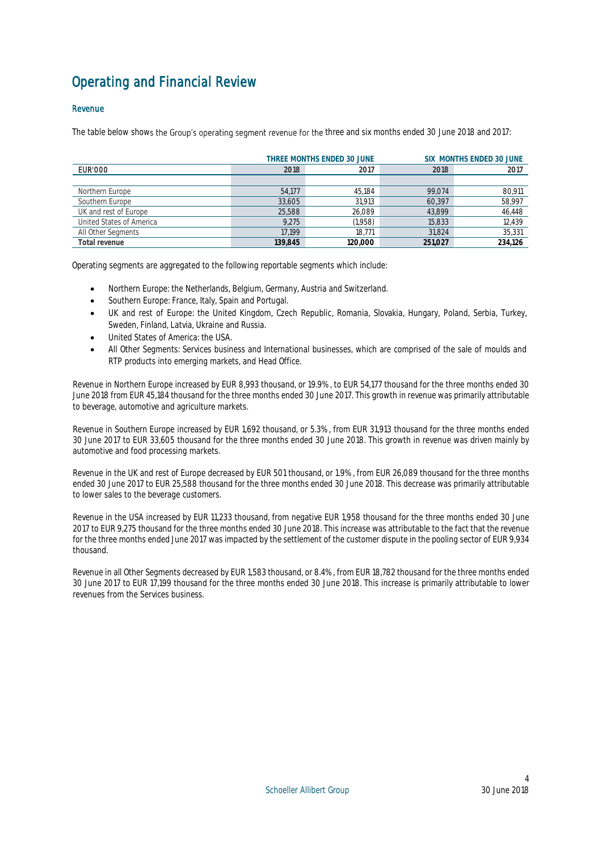## <span id="page-4-0"></span>Operating and Financial Review

## Revenue

The table below shows the Group's operating segment revenue for the three and six months ended 30 June 2018 and 2017:

|                          |         | THREE MONTHS ENDED 30 JUNE |         | SIX MONTHS ENDED 30 JUNE |
|--------------------------|---------|----------------------------|---------|--------------------------|
| <b>EUR'000</b>           | 2018    | 2017                       | 2018    | 2017                     |
|                          |         |                            |         |                          |
| Northern Europe          | 54.177  | 45.184                     | 99.074  | 80,911                   |
| Southern Europe          | 33,605  | 31.913                     | 60,397  | 58,997                   |
| UK and rest of Europe    | 25.588  | 26,089                     | 43.899  | 46,448                   |
| United States of America | 9.275   | (1,958)                    | 15,833  | 12,439                   |
| All Other Segments       | 17.199  | 18.771                     | 31.824  | 35,331                   |
| Total revenue            | 139.845 | 120.000                    | 251,027 | 234,126                  |

Operating segments are aggregated to the following reportable segments which include:

- Northern Europe: the Netherlands, Belgium, Germany, Austria and Switzerland.
- Southern Europe: France, Italy, Spain and Portugal.
- UK and rest of Europe: the United Kingdom, Czech Republic, Romania, Slovakia, Hungary, Poland, Serbia, Turkey, Sweden, Finland, Latvia, Ukraine and Russia.
- **.** United States of America: the USA.
- All Other Segments: Services business and International businesses, which are comprised of the sale of moulds and RTP products into emerging markets, and Head Office.

Revenue in Northern Europe increased by EUR 8,993 thousand, or 19.9%, to EUR 54,177 thousand for the three months ended 30 June 2018 from EUR 45,184 thousand for the three months ended 30 June 2017. This growth in revenue was primarily attributable to beverage, automotive and agriculture markets.

Revenue in Southern Europe increased by EUR 1,692 thousand, or 5.3%, from EUR 31,913 thousand for the three months ended 30 June 2017 to EUR 33,605 thousand for the three months ended 30 June 2018. This growth in revenue was driven mainly by automotive and food processing markets.

Revenue in the UK and rest of Europe decreased by EUR 501 thousand, or 1.9%, from EUR 26,089 thousand for the three months ended 30 June 2017 to EUR 25,588 thousand for the three months ended 30 June 2018. This decrease was primarily attributable to lower sales to the beverage customers.

Revenue in the USA increased by EUR 11,233 thousand, from negative EUR 1,958 thousand for the three months ended 30 June 2017 to EUR 9,275 thousand for the three months ended 30 June 2018. This increase was attributable to the fact that the revenue for the three months ended June 2017 was impacted by the settlement of the customer dispute in the pooling sector of EUR 9,934 thousand.

Revenue in all Other Segments decreased by EUR 1,583 thousand, or 8.4%, from EUR 18,782 thousand for the three months ended 30 June 2017 to EUR 17,199 thousand for the three months ended 30 June 2018. This increase is primarily attributable to lower revenues from the Services business.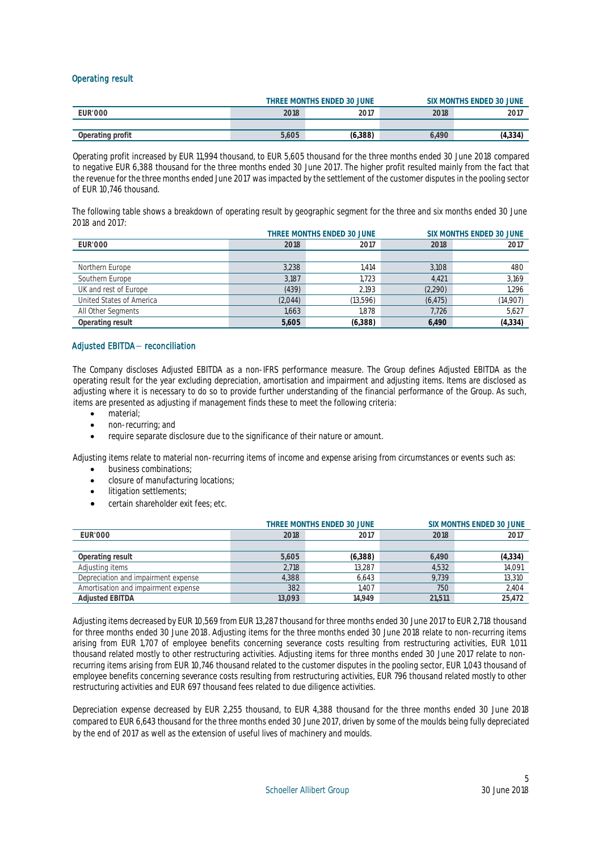## Operating result

|                  |       | THREE MONTHS ENDED 30 JUNE |       | SIX MONTHS ENDED 30 JUNE |
|------------------|-------|----------------------------|-------|--------------------------|
| <b>EUR'000</b>   | 2018  | 2017                       | 2018  | 2017                     |
|                  |       |                            |       |                          |
| Operating profit | 5,605 | (6,388)                    | 5.490 | (4,334                   |

Operating profit increased by EUR 11,994 thousand, to EUR 5,605 thousand for the three months ended 30 June 2018 compared to negative EUR 6,388 thousand for the three months ended 30 June 2017. The higher profit resulted mainly from the fact that the revenue for the three months ended June 2017 was impacted by the settlement of the customer disputes in the pooling sector of EUR 10,746 thousand.

The following table shows a breakdown of operating result by geographic segment for the three and six months ended 30 June 2018 and 2017:

|                          |         | THREE MONTHS ENDED 30 JUNE<br><b>SIX MONTHS ENDED 30 JUNE</b> |          |          |  |  |
|--------------------------|---------|---------------------------------------------------------------|----------|----------|--|--|
| <b>EUR'000</b>           | 2018    | 2017                                                          |          |          |  |  |
|                          |         |                                                               |          |          |  |  |
| Northern Europe          | 3,238   | 1.414                                                         | 3,108    | 480      |  |  |
| Southern Europe          | 3.187   | 1.723                                                         | 4.421    | 3,169    |  |  |
| UK and rest of Europe    | (439)   | 2.193                                                         | (2,290)  | 1,296    |  |  |
| United States of America | (2,044) | (13,596)                                                      | (6, 475) | (14,907) |  |  |
| All Other Segments       | 1,663   | 1.878                                                         | 7,726    | 5,627    |  |  |
| Operating result         | 5,605   | (6,388)                                                       | 6.490    | (4, 334) |  |  |

## Adjusted EBITDA- reconciliation

The Company discloses Adjusted EBITDA as a non-IFRS performance measure. The Group defines Adjusted EBITDA as the operating result for the year excluding depreciation, amortisation and impairment and adjusting items. Items are disclosed as adjusting where it is necessary to do so to provide further understanding of the financial performance of the Group. As such, items are presented as adjusting if management finds these to meet the following criteria:

- material;
- non-recurring; and
- require separate disclosure due to the significance of their nature or amount.

Adjusting items relate to material non-recurring items of income and expense arising from circumstances or events such as:

- business combinations;
- closure of manufacturing locations;
- litigation settlements;
- certain shareholder exit fees; etc.

|                                     |        | THREE MONTHS ENDED 30 JUNE |        | SIX MONTHS ENDED 30 JUNE |
|-------------------------------------|--------|----------------------------|--------|--------------------------|
| <b>EUR'000</b>                      | 2018   | 2017                       | 2018   | 2017                     |
|                                     |        |                            |        |                          |
| Operating result                    | 5.605  | (6,388)                    | 6.490  | (4,334)                  |
| Adjusting items                     | 2.718  | 13.287                     | 4.532  | 14,091                   |
| Depreciation and impairment expense | 4.388  | 6.643                      | 9.739  | 13,310                   |
| Amortisation and impairment expense | 382    | 1.407                      | 750    | 2,404                    |
| <b>Adjusted EBITDA</b>              | 13.093 | 14.949                     | 21.511 | 25.472                   |

Adjusting items decreased by EUR 10,569 from EUR 13,287 thousand for three months ended 30 June 2017 to EUR 2,718 thousand for three months ended 30 June 2018. Adjusting items for the three months ended 30 June 2018 relate to non-recurring items arising from EUR 1,707 of employee benefits concerning severance costs resulting from restructuring activities, EUR 1,011 thousand related mostly to other restructuring activities. Adjusting items for three months ended 30 June 2017 relate to nonrecurring items arising from EUR 10,746 thousand related to the customer disputes in the pooling sector, EUR 1,043 thousand of employee benefits concerning severance costs resulting from restructuring activities, EUR 796 thousand related mostly to other restructuring activities and EUR 697 thousand fees related to due diligence activities.

Depreciation expense decreased by EUR 2,255 thousand, to EUR 4,388 thousand for the three months ended 30 June 2018 compared to EUR 6,643 thousand for the three months ended 30 June 2017, driven by some of the moulds being fully depreciated by the end of 2017 as well as the extension of useful lives of machinery and moulds.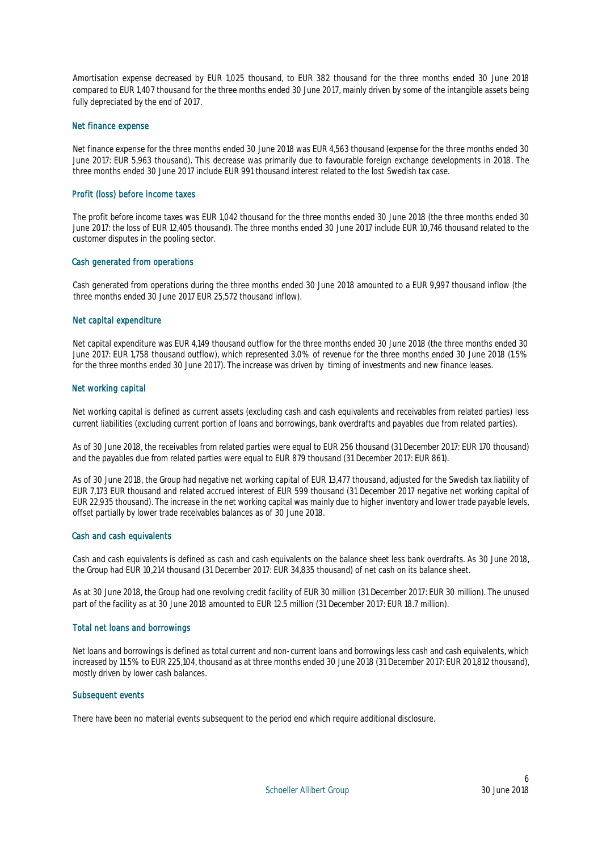Amortisation expense decreased by EUR 1,025 thousand, to EUR 382 thousand for the three months ended 30 June 2018 compared to EUR 1,407 thousand for the three months ended 30 June 2017, mainly driven by some of the intangible assets being fully depreciated by the end of 2017.

### Net finance expense

Net finance expense for the three months ended 30 June 2018 was EUR 4,563 thousand (expense for the three months ended 30 June 2017: EUR 5,963 thousand). This decrease was primarily due to favourable foreign exchange developments in 2018. The three months ended 30 June 2017 include EUR 991 thousand interest related to the lost Swedish tax case.

### Profit (loss) before income taxes

The profit before income taxes was EUR 1,042 thousand for the three months ended 30 June 2018 (the three months ended 30 June 2017: the loss of EUR 12,405 thousand). The three months ended 30 June 2017 include EUR 10,746 thousand related to the customer disputes in the pooling sector.

#### Cash generated from operations

Cash generated from operations during the three months ended 30 June 2018 amounted to a EUR 9,997 thousand inflow (the three months ended 30 June 2017 EUR 25,572 thousand inflow).

#### Net capital expenditure

Net capital expenditure was EUR 4,149 thousand outflow for the three months ended 30 June 2018 (the three months ended 30 June 2017: EUR 1,758 thousand outflow), which represented 3.0% of revenue for the three months ended 30 June 2018 (1.5% for the three months ended 30 June 2017). The increase was driven by timing of investments and new finance leases.

### Net working capital

Net working capital is defined as current assets (excluding cash and cash equivalents and receivables from related parties) less current liabilities (excluding current portion of loans and borrowings, bank overdrafts and payables due from related parties).

As of 30 June 2018, the receivables from related parties were equal to EUR 256 thousand (31 December 2017: EUR 170 thousand) and the payables due from related parties were equal to EUR 879 thousand (31 December 2017: EUR 861).

As of 30 June 2018, the Group had negative net working capital of EUR 13,477 thousand, adjusted for the Swedish tax liability of EUR 7,173 EUR thousand and related accrued interest of EUR 599 thousand (31 December 2017 negative net working capital of EUR 22,935 thousand). The increase in the net working capital was mainly due to higher inventory and lower trade payable levels, offset partially by lower trade receivables balances as of 30 June 2018.

### Cash and cash equivalents

Cash and cash equivalents is defined as cash and cash equivalents on the balance sheet less bank overdrafts. As 30 June 2018, the Group had EUR 10,214 thousand (31 December 2017: EUR 34,835 thousand) of net cash on its balance sheet.

As at 30 June 2018, the Group had one revolving credit facility of EUR 30 million (31 December 2017: EUR 30 million). The unused part of the facility as at 30 June 2018 amounted to EUR 12.5 million (31 December 2017: EUR 18.7 million).

### Total net loans and borrowings

Net loans and borrowings is defined as total current and non-current loans and borrowings less cash and cash equivalents, which increased by 11.5% to EUR 225,104, thousand as at three months ended 30 June 2018 (31 December 2017: EUR 201,812 thousand), mostly driven by lower cash balances.

### Subsequent events

There have been no material events subsequent to the period end which require additional disclosure.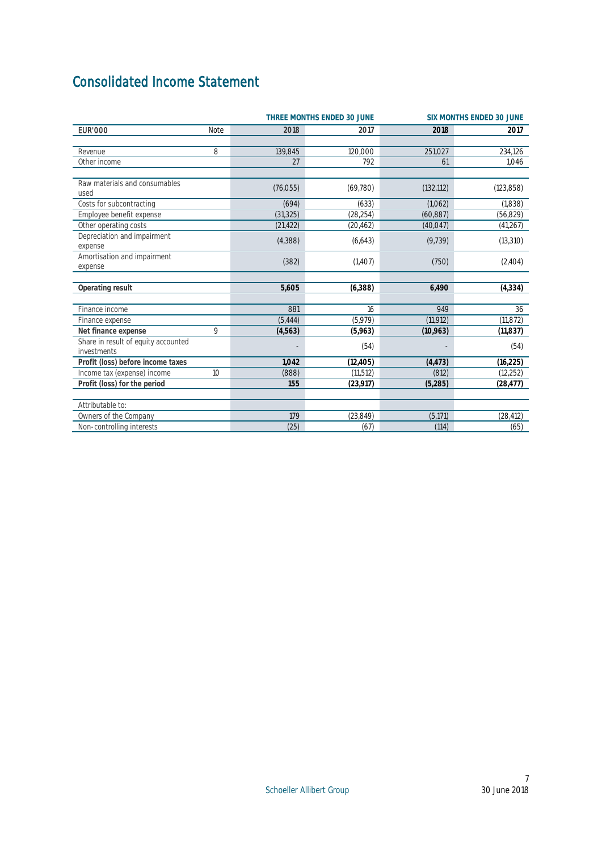## <span id="page-7-0"></span>Consolidated Income Statement

|                                                    |      |           | THREE MONTHS ENDED 30 JUNE | SIX MONTHS ENDED 30 JUNE |            |  |
|----------------------------------------------------|------|-----------|----------------------------|--------------------------|------------|--|
| <b>EUR'000</b>                                     | Note | 2018      | 2017                       | 2018                     | 2017       |  |
|                                                    |      |           |                            |                          |            |  |
| Revenue                                            | 8    | 139,845   | 120,000                    | 251,027                  | 234,126    |  |
| Other income                                       |      | 27        | 792                        | 61                       | 1.046      |  |
| Raw materials and consumables<br>used              |      | (76,055)  | (69, 780)                  | (132, 112)               | (123, 858) |  |
| Costs for subcontracting                           |      | (694)     | (633)                      | (1,062)                  | (1,838)    |  |
| Employee benefit expense                           |      | (31, 325) | (28, 254)                  | (60, 887)                | (56, 829)  |  |
| Other operating costs                              |      | (21, 422) | (20, 462)                  | (40, 047)                | (41, 267)  |  |
| Depreciation and impairment<br>expense             |      | (4,388)   | (6,643)                    | (9, 739)                 | (13, 310)  |  |
| Amortisation and impairment<br>expense             |      | (382)     | (1,407)                    | (750)                    | (2,404)    |  |
|                                                    |      |           |                            |                          |            |  |
| Operating result                                   |      | 5,605     | (6,388)                    | 6,490                    | (4, 334)   |  |
| Finance income                                     |      | 881       | 16                         | 949                      | 36         |  |
| Finance expense                                    |      | (5, 444)  | (5,979)                    | (11, 912)                | (11, 872)  |  |
| Net finance expense                                | 9    | (4,563)   | (5,963)                    | (10,963)                 | (11, 837)  |  |
| Share in result of equity accounted<br>investments |      |           | (54)                       |                          | (54)       |  |
| Profit (loss) before income taxes                  |      | 1.042     | (12, 405)                  | (4, 473)                 | (16, 225)  |  |
| Income tax (expense) income                        | 10   | (888)     | (11.512)                   | (812)                    | (12, 252)  |  |
| Profit (loss) for the period                       |      | 155       | (23, 917)                  | (5, 285)                 | (28, 477)  |  |
| Attributable to:                                   |      |           |                            |                          |            |  |
| Owners of the Company                              |      | 179       | (23, 849)                  | (5, 171)                 | (28, 412)  |  |
| Non-controlling interests                          |      | (25)      | (67)                       | (114)                    | (65)       |  |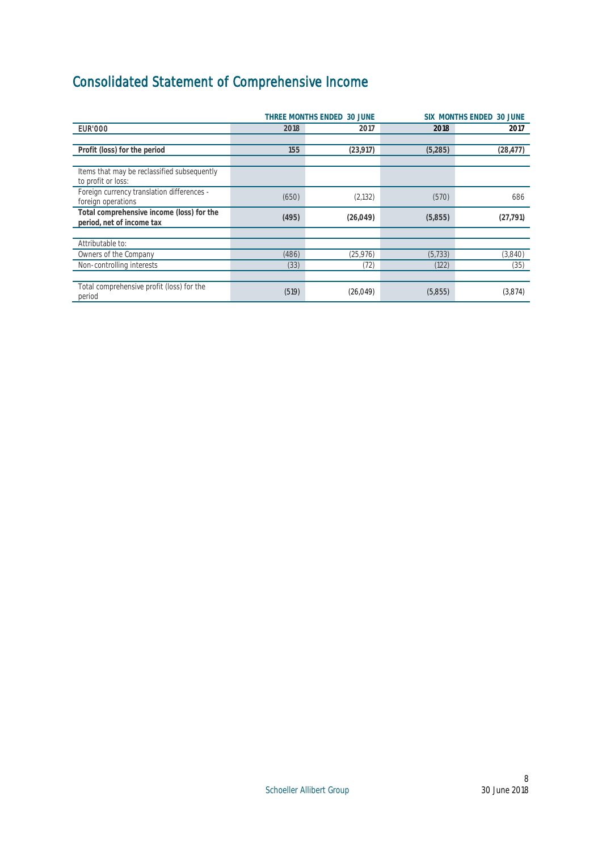# <span id="page-8-0"></span>Consolidated Statement of Comprehensive Income

|                                                                        | THREE MONTHS ENDED 30 JUNE<br>SIX MONTHS ENDED 30 JUNE |           |          |           |  |
|------------------------------------------------------------------------|--------------------------------------------------------|-----------|----------|-----------|--|
| <b>EUR'000</b>                                                         | 2018                                                   | 2017      | 2018     | 2017      |  |
|                                                                        |                                                        |           |          |           |  |
| Profit (loss) for the period                                           | 155                                                    | (23, 917) | (5,285)  | (28, 477) |  |
|                                                                        |                                                        |           |          |           |  |
| Items that may be reclassified subsequently<br>to profit or loss:      |                                                        |           |          |           |  |
| Foreign currency translation differences -<br>foreign operations       | (650)                                                  | (2, 132)  | (570)    | 686       |  |
| Total comprehensive income (loss) for the<br>period, net of income tax | (495)                                                  | (26, 049) | (5,855)  | (27, 791) |  |
|                                                                        |                                                        |           |          |           |  |
| Attributable to:                                                       |                                                        |           |          |           |  |
| Owners of the Company                                                  | (486)                                                  | (25, 976) | (5, 733) | (3,840)   |  |
| Non-controlling interests                                              | (33)                                                   | (72)      | (122)    | (35)      |  |
|                                                                        |                                                        |           |          |           |  |
| Total comprehensive profit (loss) for the<br>period                    | (519)                                                  | (26, 049) | (5,855)  | (3,874)   |  |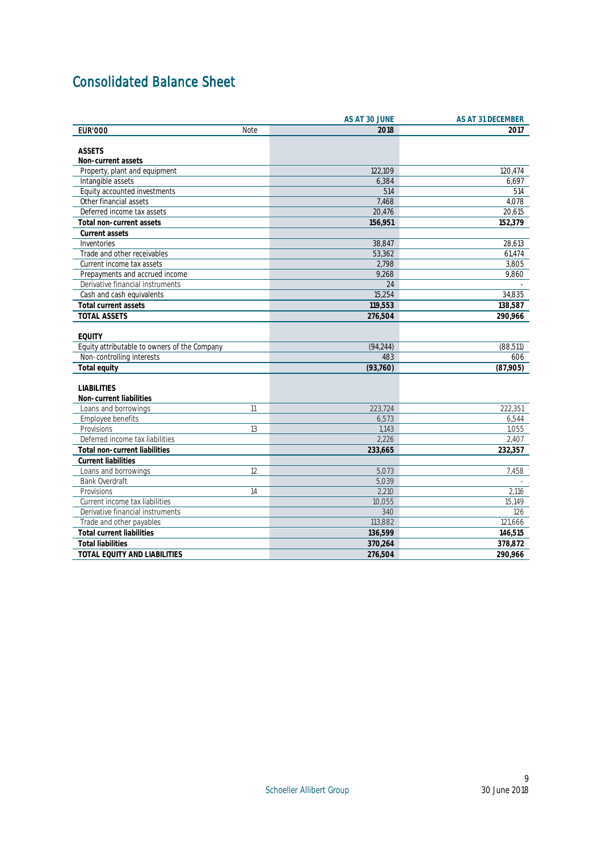## <span id="page-9-0"></span>Consolidated Balance Sheet

|                                              | AS AT 30 JUNE | AS AT 31 DECEMBER |
|----------------------------------------------|---------------|-------------------|
| <b>EUR'000</b><br><b>Note</b>                | 2018          | 2017              |
|                                              |               |                   |
| <b>ASSETS</b>                                |               |                   |
| Non-current assets                           |               |                   |
| Property, plant and equipment                | 122.109       | 120.474           |
| Intangible assets                            | 6,384         | 6,697             |
| Equity accounted investments                 | 514           | 514               |
| Other financial assets                       | 7,468         | 4,078             |
| Deferred income tax assets                   | 20,476        | 20,615            |
| Total non-current assets                     | 156,951       | 152,379           |
| Current assets                               |               |                   |
| Inventories                                  | 38,847        | 28,613            |
| Trade and other receivables                  | 53.362        | 61,474            |
| Current income tax assets                    | 2,798         | 3,805             |
| Prepayments and accrued income               | 9,268         | 9,860             |
| Derivative financial instruments             | 24            |                   |
| Cash and cash equivalents                    | 15,254        | 34,835            |
| Total current assets                         | 119,553       | 138,587           |
| <b>TOTAL ASSETS</b>                          | 276,504       | 290,966           |
|                                              |               |                   |
| <b>EQUITY</b>                                |               |                   |
| Equity attributable to owners of the Company | (94, 244)     | (88, 511)         |
| Non-controlling interests                    | 483           | 606               |
| Total equity                                 | (93,760)      | (87,905)          |
|                                              |               |                   |
| <b>LIABILITIES</b>                           |               |                   |
| Non-current liabilities                      |               |                   |
| Loans and borrowings<br>11                   | 223.724       | 222.351           |
| Employee benefits                            | 6,573         | 6,544             |
| Provisions<br>13                             | 1,143         | 1,055             |
| Deferred income tax liabilities              | 2,226         | 2,407             |
| Total non-current liabilities                | 233,665       | 232,357           |
| <b>Current liabilities</b>                   |               |                   |
| Loans and borrowings<br>12                   | 5,073         | 7,458             |
| <b>Bank Overdraft</b>                        | 5.039         |                   |
| 14<br>Provisions                             | 2,210         | 2,116             |
| Current income tax liabilities               | 10,055        | 15,149            |
| Derivative financial instruments             | 340           | 126               |
| Trade and other payables                     | 113,882       | 121,666           |
| <b>Total current liabilities</b>             | 136,599       | 146,515           |
| <b>Total liabilities</b>                     | 370,264       | 378,872           |
| TOTAL EQUITY AND LIABILITIES                 | 276,504       | 290,966           |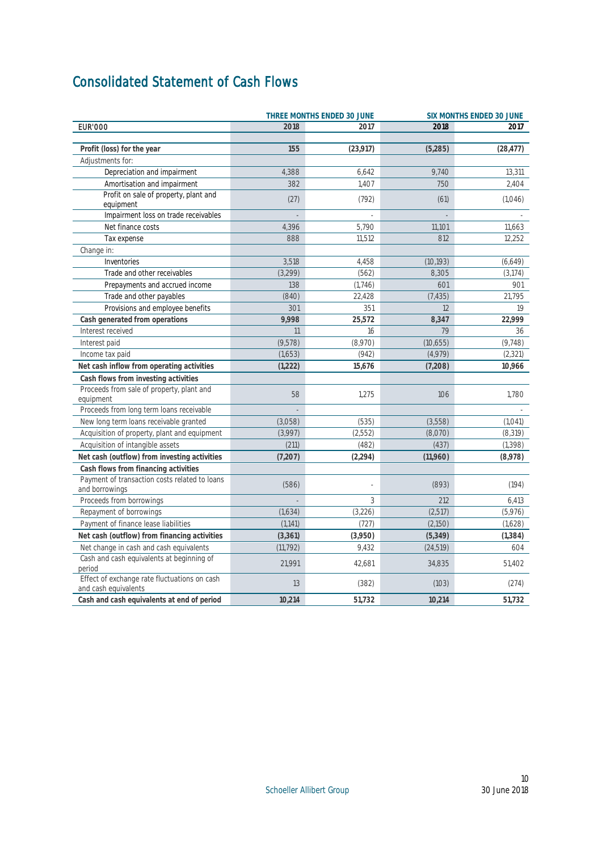## <span id="page-10-0"></span>Consolidated Statement of Cash Flows

|                                                                 |           | THREE MONTHS ENDED 30 JUNE | SIX MONTHS ENDED 30 JUNE |           |  |
|-----------------------------------------------------------------|-----------|----------------------------|--------------------------|-----------|--|
| <b>EUR'000</b>                                                  | 2018      | 2017                       | 2018                     | 2017      |  |
|                                                                 |           |                            |                          |           |  |
| Profit (loss) for the year                                      | 155       | (23, 917)                  | (5,285)                  | (28, 477) |  |
| Adjustments for:                                                |           |                            |                          |           |  |
| Depreciation and impairment                                     | 4,388     | 6,642                      | 9,740                    | 13,311    |  |
| Amortisation and impairment                                     | 382       | 1,407                      | 750                      | 2,404     |  |
| Profit on sale of property, plant and<br>equipment              | (27)      | (792)                      | (61)                     | (1,046)   |  |
| Impairment loss on trade receivables                            |           |                            |                          |           |  |
| Net finance costs                                               | 4,396     | 5,790                      | 11,101                   | 11.663    |  |
| Tax expense                                                     | 888       | 11,512                     | 812                      | 12,252    |  |
| Change in:                                                      |           |                            |                          |           |  |
| Inventories                                                     | 3,518     | 4,458                      | (10, 193)                | (6,649)   |  |
| Trade and other receivables                                     | (3, 299)  | (562)                      | 8.305                    | (3, 174)  |  |
| Prepayments and accrued income                                  | 138       | (1,746)                    | 601                      | 901       |  |
| Trade and other payables                                        | (840)     | 22,428                     | (7, 435)                 | 21,795    |  |
| Provisions and employee benefits                                | 301       | 351                        | 12                       | 19        |  |
| Cash generated from operations                                  | 9,998     | 25,572                     | 8,347                    | 22,999    |  |
| Interest received                                               | 11        | 16                         | 79                       | 36        |  |
| Interest paid                                                   | (9,578)   | (8,970)                    | (10,655)                 | (9, 748)  |  |
| Income tax paid                                                 | (1,653)   | (942)                      | (4,979)                  | (2, 321)  |  |
| Net cash inflow from operating activities                       | (1,222)   | 15,676                     | (7,208)                  | 10,966    |  |
| Cash flows from investing activities                            |           |                            |                          |           |  |
| Proceeds from sale of property, plant and                       |           |                            |                          |           |  |
| equipment                                                       | 58        | 1,275                      | 106                      | 1,780     |  |
| Proceeds from long term loans receivable                        |           |                            |                          |           |  |
| New long term loans receivable granted                          | (3,058)   | (535)                      | (3,558)                  | (1, 041)  |  |
| Acquisition of property, plant and equipment                    | (3,997)   | (2,552)                    | (8,070)                  | (8, 319)  |  |
| Acquisition of intangible assets                                | (211)     | (482)                      | (437)                    | (1, 398)  |  |
| Net cash (outflow) from investing activities                    | (7,207)   | (2, 294)                   | (11,960)                 | (8,978)   |  |
| Cash flows from financing activities                            |           |                            |                          |           |  |
| Payment of transaction costs related to loans<br>and borrowings | (586)     |                            | (893)                    | (194)     |  |
| Proceeds from borrowings                                        |           | 3                          | 212                      | 6,413     |  |
| Repayment of borrowings                                         | (1,634)   | (3,226)                    | (2, 517)                 | (5,976)   |  |
| Payment of finance lease liabilities                            | (1, 141)  | (727)                      | (2,150)                  | (1,628)   |  |
| Net cash (outflow) from financing activities                    | (3, 361)  | (3,950)                    | (5, 349)                 | (1, 384)  |  |
| Net change in cash and cash equivalents                         | (11, 792) | 9,432                      | (24, 519)                | 604       |  |
| Cash and cash equivalents at beginning of                       | 21,991    | 42,681                     | 34,835                   | 51,402    |  |
| period<br>Effect of exchange rate fluctuations on cash          | 13        | (382)                      | (103)                    | (274)     |  |
| and cash equivalents                                            |           |                            |                          |           |  |
| Cash and cash equivalents at end of period                      | 10,214    | 51,732                     | 10,214                   | 51,732    |  |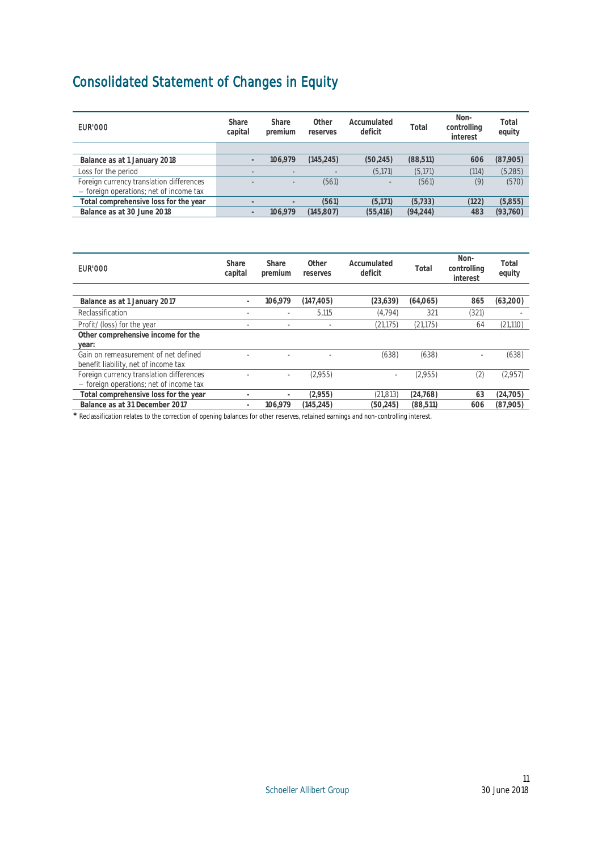## <span id="page-11-0"></span>Consolidated Statement of Changes in Equity

| EUR'000                                                                             | Share<br>capital | Share<br>premium  | Other<br>reserves | Accumulated<br>deficit   | Total     | Non-<br>controlling<br>interest | Total<br>equity |
|-------------------------------------------------------------------------------------|------------------|-------------------|-------------------|--------------------------|-----------|---------------------------------|-----------------|
|                                                                                     |                  |                   |                   |                          |           |                                 |                 |
| Balance as at 1 January 2018                                                        |                  | 106.979           | (145.245)         | (50, 245)                | (88,511)  | 606                             | (87,905)        |
| Loss for the period                                                                 |                  |                   |                   | (5, 171)                 | (5, 171)  | (114)                           | (5, 285)        |
| Foreign currency translation differences<br>- foreign operations; net of income tax |                  | $\qquad \qquad =$ | (561)             | $\overline{\phantom{a}}$ | (561)     | (9)                             | (570)           |
| Total comprehensive loss for the year                                               |                  |                   | (561)             | (5.171)                  | (5.733)   | (122)                           | (5,855)         |
| Balance as at 30 June 2018                                                          |                  | 106.979           | (145.807)         | (55.416)                 | (94, 244) | 483                             | (93,760)        |

| EUR'000                                                                             | Share<br>capital | Share<br>premium         | Other<br>reserves | Accumulated<br>deficit | Total     | Non-<br>controlling<br>interest | Total<br>equity |
|-------------------------------------------------------------------------------------|------------------|--------------------------|-------------------|------------------------|-----------|---------------------------------|-----------------|
|                                                                                     |                  |                          |                   |                        |           |                                 |                 |
| Balance as at 1 January 2017                                                        |                  | 106.979                  | (147, 405)        | (23, 639)              | (64,065)  | 865                             | (63,200)        |
| Reclassification                                                                    |                  |                          | 5.115             | (4, 794)               | 321       | (321)                           |                 |
| Profit/(loss) for the year                                                          | ٠                | $\overline{\phantom{a}}$ | -                 | (21, 175)              | (21, 175) | 64                              | (21, 110)       |
| Other comprehensive income for the                                                  |                  |                          |                   |                        |           |                                 |                 |
| year:                                                                               |                  |                          |                   |                        |           |                                 |                 |
| Gain on remeasurement of net defined<br>benefit liability, net of income tax        |                  |                          |                   | (638)                  | (638)     |                                 | (638)           |
| Foreign currency translation differences<br>- foreign operations; net of income tax |                  | -                        | (2,955)           |                        | (2,955)   | (2                              | (2,957)         |
| Total comprehensive loss for the year                                               |                  | ٠                        | (2,955)           | (21, 813)              | (24, 768) | 63                              | (24, 705)       |
| Balance as at 31 December 2017                                                      |                  | 106.979                  | (145.245)         | (50.245)               | (88, 511) | 606                             | (87,905)        |

\* Reclassification relates to the correction of opening balances for other reserves, retained earnings and non-controlling interest.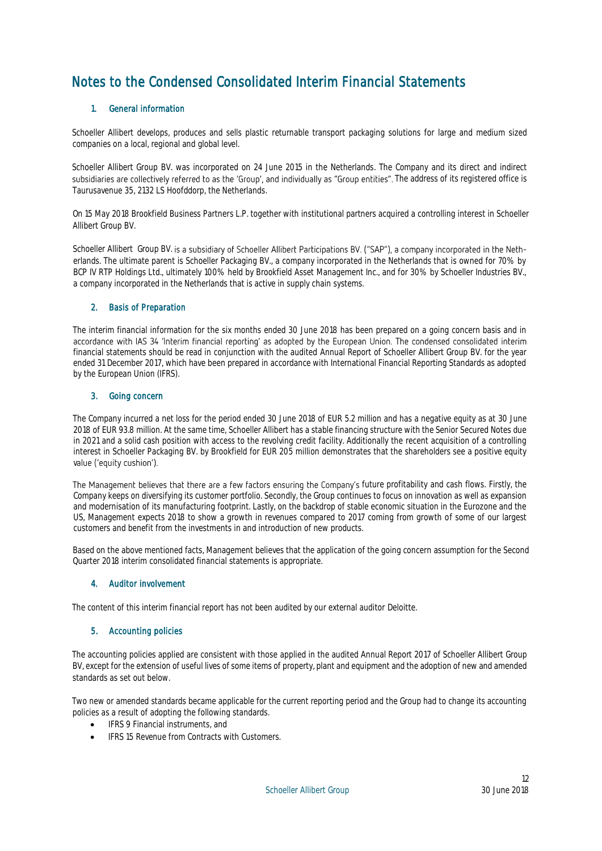## <span id="page-12-0"></span>Notes to the Condensed Consolidated Interim Financial Statements

## 1. General information

Schoeller Allibert develops, produces and sells plastic returnable transport packaging solutions for large and medium sized companies on a local, regional and global level.

Schoeller Allibert Group BV. was incorporated on 24 June 2015 in the Netherlands. The Company and its direct and indirect subsidiaries are collectively referred to as the 'Group', and individually as "Group entities". The address of its registered office is Taurusavenue 35, 2132 LS Hoofddorp, the Netherlands.

On 15 May 2018 Brookfield Business Partners L.P. together with institutional partners acquired a controlling interest in Schoeller Allibert Group BV.

Schoeller Allibert Group BV. is a subsidiary of Schoeller Allibert Participations BV. ("SAP"), a company incorporated in the Netherlands. The ultimate parent is Schoeller Packaging BV., a company incorporated in the Netherlands that is owned for 70% by BCP IV RTP Holdings Ltd., ultimately 100% held by Brookfield Asset Management Inc., and for 30% by Schoeller Industries BV., a company incorporated in the Netherlands that is active in supply chain systems.

## 2. Basis of Preparation

The interim financial information for the six months ended 30 June 2018 has been prepared on a going concern basis and in accordance with IAS 34 'Interim financial reporting' as adopted by the European Union. The condensed financial statements should be read in conjunction with the audited Annual Report of Schoeller Allibert Group BV, for the year ended 31 December 2017, which have been prepared in accordance with International Financial Reporting Standards as adopted by the European Union (IFRS).

## 3. Going concern

The Company incurred a net loss for the period ended 30 June 2018 of EUR 5.2 million and has a negative equity as at 30 June 2018 of EUR 93.8 million. At the same time, Schoeller Allibert has a stable financing structure with the Senior Secured Notes due in 2021 and a solid cash position with access to the revolving credit facility. Additionally the recent acquisition of a controlling interest in Schoeller Packaging BV. by Brookfield for EUR 205 million demonstrates that the shareholders see a positive equity value ('equity cushion').

The Management believes that there are a few factors ensuring the Company's future profitability and cash flows. Firstly, the Company keeps on diversifying its customer portfolio. Secondly, the Group continues to focus on innovation as well as expansion and modernisation of its manufacturing footprint. Lastly, on the backdrop of stable economic situation in the Eurozone and the US, Management expects 2018 to show a growth in revenues compared to 2017 coming from growth of some of our largest customers and benefit from the investments in and introduction of new products.

Based on the above mentioned facts, Management believes that the application of the going concern assumption for the Second Quarter 2018 interim consolidated financial statements is appropriate.

## 4. Auditor involvement

The content of this interim financial report has not been audited by our external auditor Deloitte.

## 5. Accounting policies

The accounting policies applied are consistent with those applied in the audited Annual Report 2017 of Schoeller Allibert Group BV, except for the extension of useful lives of some items of property, plant and equipment and the adoption of new and amended standards as set out below.

Two new or amended standards became applicable for the current reporting period and the Group had to change its accounting policies as a result of adopting the following standards.

- IFRS 9 Financial instruments, and
- IFRS 15 Revenue from Contracts with Customers.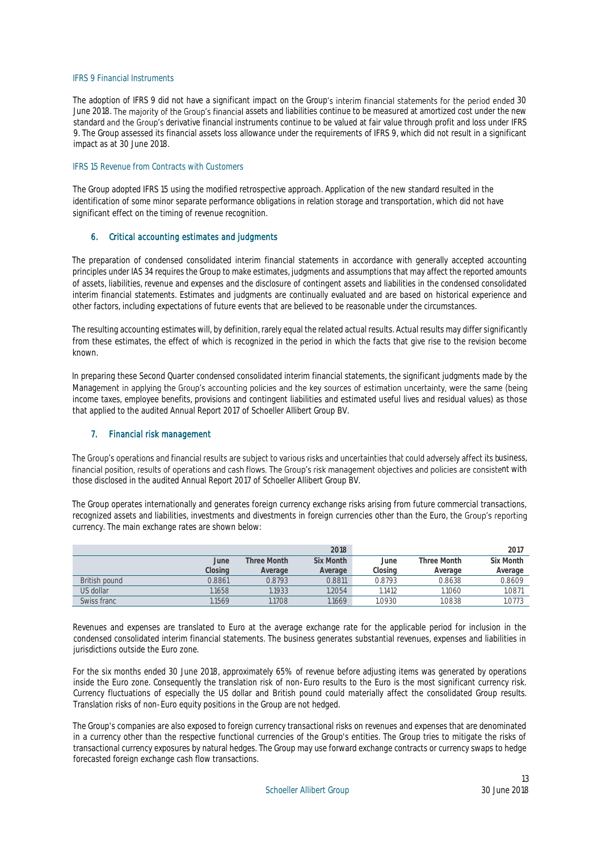## IFRS 9 Financial Instruments

The adoption of IFRS 9 did not have a significant impact on the Group's interim financial statements for the period ended 30 June 2018. The majority of the Group's financial assets and liabilities continue to be measured at amortized cost under the new standard and the Group's derivative financial instruments continue to be valued at fair value through profit and loss under IFRS 9. The Group assessed its financial assets loss allowance under the requirements of IFRS 9, which did not result in a significant impact as at 30 June 2018.

#### IFRS 15 Revenue from Contracts with Customers

The Group adopted IFRS 15 using the modified retrospective approach. Application of the new standard resulted in the identification of some minor separate performance obligations in relation storage and transportation, which did not have significant effect on the timing of revenue recognition.

## 6. Critical accounting estimates and judgments

The preparation of condensed consolidated interim financial statements in accordance with generally accepted accounting principles under IAS 34 requires the Group to make estimates, judgments and assumptions that may affect the reported amounts of assets, liabilities, revenue and expenses and the disclosure of contingent assets and liabilities in the condensed consolidated interim financial statements. Estimates and judgments are continually evaluated and are based on historical experience and other factors, including expectations of future events that are believed to be reasonable under the circumstances.

The resulting accounting estimates will, by definition, rarely equal the related actual results. Actual results may differ significantly from these estimates, the effect of which is recognized in the period in which the facts that give rise to the revision become known.

In preparing these Second Quarter condensed consolidated interim financial statements, the significant judgments made by the Management in applying the Group's accounting policies and the key sources of estimation uncertainty, were the same (being income taxes, employee benefits, provisions and contingent liabilities and estimated useful lives and residual values) as those that applied to the audited Annual Report 2017 of Schoeller Allibert Group BV.

## 7. Financial risk management

The Group's operations and financial results are subject to various risks and uncertainties that could adversely affect its business, financial position, results of operations and cash flows. The Group's risk management objectives and policies are consistent with those disclosed in the audited Annual Report 2017 of Schoeller Allibert Group BV.

The Group operates internationally and generates foreign currency exchange risks arising from future commercial transactions, recognized assets and liabilities, investments and divestments in foreign currencies other than the Euro, the Group's reporting currency. The main exchange rates are shown below:

|               |         |             | 2018      |         |             | 2017      |
|---------------|---------|-------------|-----------|---------|-------------|-----------|
|               | June    | Three Month | Six Month | June    | Three Month | Six Month |
|               | Closing | Average     | Average   | Closing | Average     | Average   |
| British pound | 0.8861  | 0.8793      | 0.8811    | 0.8793  | 0.8638      | 0.8609    |
| US dollar     | .1658   | .1933       | 1.2054    | .1412   | 1.1060      | 1.087     |
| Swiss franc   | .1569   | .1708       | 1.1669    | .0930   | .0838       | 1.0773    |

Revenues and expenses are translated to Euro at the average exchange rate for the applicable period for inclusion in the condensed consolidated interim financial statements. The business generates substantial revenues, expenses and liabilities in jurisdictions outside the Euro zone.

For the six months ended 30 June 2018, approximately 65% of revenue before adjusting items was generated by operations inside the Euro zone. Consequently the translation risk of non-Euro results to the Euro is the most significant currency risk. Currency fluctuations of especially the US dollar and British pound could materially affect the consolidated Group results. Translation risks of non-Euro equity positions in the Group are not hedged.

The Group's companies are also exposed to foreign currency transactional risks on revenues and expenses that are denominated in a currency other than the respective functional currencies of the Group's entities. The Group tries to mitigate the risks of transactional currency exposures by natural hedges. The Group may use forward exchange contracts or currency swaps to hedge forecasted foreign exchange cash flow transactions.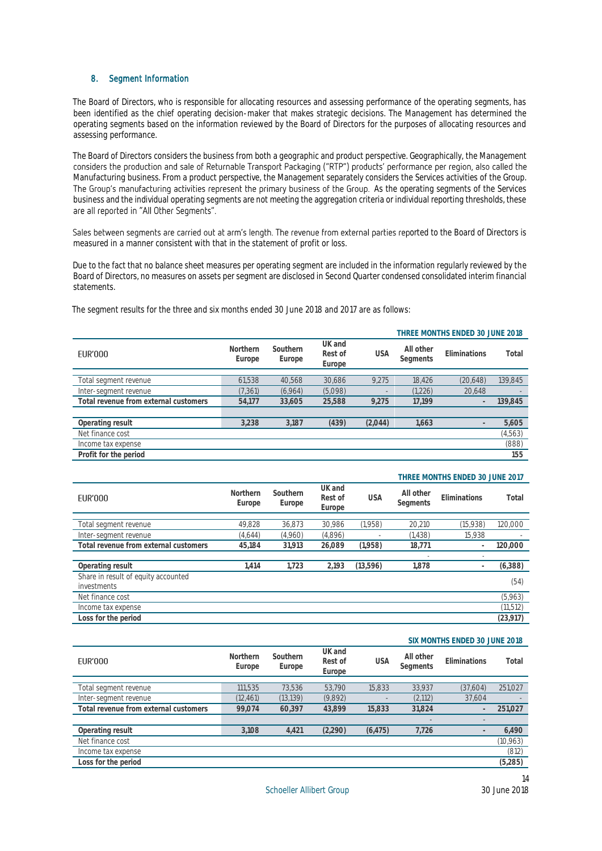## 8. Segment Information

The Board of Directors, who is responsible for allocating resources and assessing performance of the operating segments, has been identified as the chief operating decision-maker that makes strategic decisions. The Management has determined the operating segments based on the information reviewed by the Board of Directors for the purposes of allocating resources and assessing performance.

The Board of Directors considers the business from both a geographic and product perspective. Geographically, the Management considers the production and sale of Returnable Transport Packaging ("RTP") products' performance Manufacturing business. From a product perspective, the Management separately considers the Services activities of the Group. The Group's manufacturing activities represent the primary business of the Group. As the operating segments of the Services business and the individual operating segments are not meeting the aggregation criteria or individual reporting thresholds, these are all reported in "All Other Segments".

Sales between segments are carried out at arm's length. The revenue from external parties reported to the Board of Directors is measured in a manner consistent with that in the statement of profit or loss.

Due to the fact that no balance sheet measures per operating segment are included in the information regularly reviewed by the Board of Directors, no measures on assets per segment are disclosed in Second Quarter condensed consolidated interim financial statements.

|                                       |                    |                    |                             |            | THREE MONTHS ENDED 30 JUNE 2018 |                     |          |  |
|---------------------------------------|--------------------|--------------------|-----------------------------|------------|---------------------------------|---------------------|----------|--|
| <b>EUR'000</b>                        | Northern<br>Europe | Southern<br>Europe | UK and<br>Rest of<br>Europe | <b>USA</b> | All other<br>Segments           | <b>Fliminations</b> | Total    |  |
|                                       |                    |                    |                             |            |                                 |                     |          |  |
| Total segment revenue                 | 61.538             | 40.568             | 30.686                      | 9.275      | 18.426                          | (20,648)            | 139,845  |  |
| Inter-segment revenue                 | (7, 361)           | (6,964)            | (5,098)                     |            | (1,226)                         | 20.648              |          |  |
| Total revenue from external customers | 54.177             | 33.605             | 25,588                      | 9.275      | 17.199                          |                     | 139,845  |  |
|                                       |                    |                    |                             |            |                                 |                     |          |  |
| Operating result                      | 3.238              | 3.187              | (439)                       | (2,044)    | 1.663                           |                     | 5,605    |  |
| Net finance cost                      |                    |                    |                             |            |                                 |                     | (4, 563) |  |
| Income tax expense                    |                    |                    |                             |            |                                 |                     | (888)    |  |
| Profit for the period                 |                    |                    |                             |            |                                 |                     | 155      |  |

The segment results for the three and six months ended 30 June 2018 and 2017 are as follows:

|                                                    |                    |                    |                             |            | THREE MONTHS ENDED 30 JUNE 2017 |                          |           |  |
|----------------------------------------------------|--------------------|--------------------|-----------------------------|------------|---------------------------------|--------------------------|-----------|--|
| <b>EUR'000</b>                                     | Northern<br>Europe | Southern<br>Europe | UK and<br>Rest of<br>Europe | <b>USA</b> | All other<br>Segments           | <b>Fliminations</b>      | Total     |  |
| Total segment revenue                              | 49,828             | 36,873             | 30,986                      | (1,958)    | 20.210                          | (15,938)                 | 120,000   |  |
| Inter-segment revenue                              | (4,644)            | (4,960)            | (4,896)                     |            | (1, 438)                        | 15.938                   |           |  |
| Total revenue from external customers              | 45.184             | 31.913             | 26.089                      | (1,958)    | 18,771                          | $\overline{\phantom{a}}$ | 120.000   |  |
|                                                    |                    |                    |                             |            |                                 | $\overline{\phantom{a}}$ |           |  |
| Operating result                                   | 1.414              | 1.723              | 2.193                       | (13,596)   | 1.878                           |                          | (6,388)   |  |
| Share in result of equity accounted<br>investments |                    |                    |                             |            |                                 |                          | (54)      |  |
| Net finance cost                                   |                    |                    |                             |            |                                 |                          | (5,963)   |  |
| Income tax expense                                 |                    |                    |                             |            |                                 |                          | (11, 512) |  |
| Loss for the period                                |                    |                    |                             |            |                                 |                          | (23, 917) |  |

| <b>EUR'000</b>                        | Northern<br>Europe | Southern<br>Europe | UK and<br>Rest of<br>Europe | <b>USA</b> | All other<br>Segments | Eliminations      | Total     |
|---------------------------------------|--------------------|--------------------|-----------------------------|------------|-----------------------|-------------------|-----------|
|                                       |                    |                    |                             |            |                       |                   |           |
| Total segment revenue                 | 111,535            | 73.536             | 53.790                      | 15,833     | 33.937                | (37,604)          | 251,027   |
| Inter-segment revenue                 | (12, 461)          | (13, 139)          | (9,892)                     |            | (2,112)               | 37,604            |           |
| Total revenue from external customers | 99.074             | 60,397             | 43.899                      | 15,833     | 31,824                |                   | 251,027   |
|                                       |                    |                    |                             |            |                       | $\qquad \qquad -$ |           |
| Operating result                      | 3.108              | 4,421              | (2,290)                     | (6, 475)   | 7.726                 |                   | 6,490     |
| Net finance cost                      |                    |                    |                             |            |                       |                   | (10, 963) |
| Income tax expense                    |                    |                    |                             |            |                       |                   | (812)     |
| Loss for the period                   |                    |                    |                             |            |                       |                   | (5,285)   |
|                                       |                    |                    |                             |            |                       |                   |           |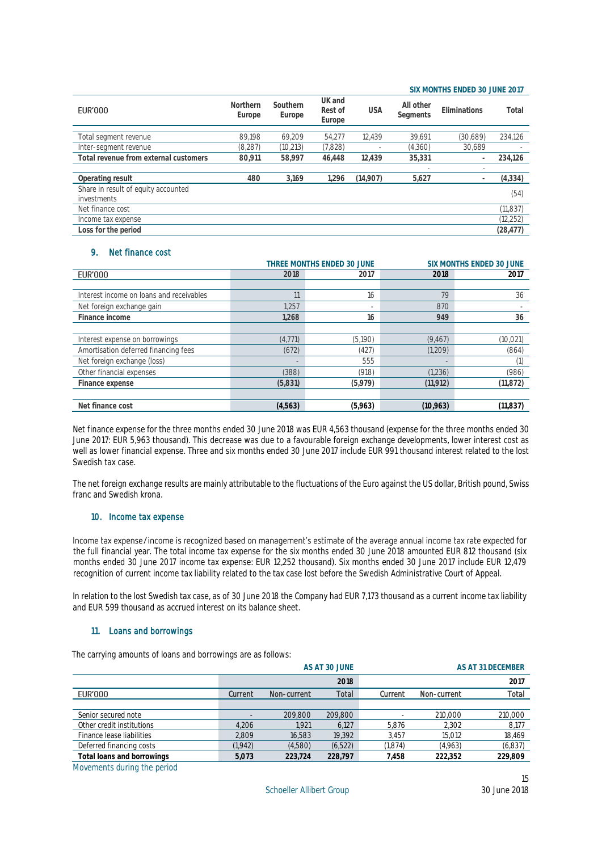### **SIX MONTHS ENDED 30 JUNE 2017**

| <b>EUR'000</b>                        | Northern<br>Europe | Southern<br>Europe | UK and<br>Rest of<br>Europe | <b>USA</b> | All other<br>Segments | Eliminations             | Total     |
|---------------------------------------|--------------------|--------------------|-----------------------------|------------|-----------------------|--------------------------|-----------|
| Total segment revenue                 | 89.198             | 69.209             | 54.277                      | 12.439     | 39.691                | (30,689)                 | 234,126   |
|                                       |                    |                    |                             |            |                       |                          |           |
| Inter-segment revenue                 | (8, 287)           | (10, 213)          | (7,828)                     |            | (4,360)               | 30.689                   |           |
| Total revenue from external customers | 80.911             | 58.997             | 46.448                      | 12.439     | 35.331                |                          | 234,126   |
|                                       |                    |                    |                             |            |                       | $\overline{\phantom{a}}$ |           |
| Operating result                      | 480                | 3.169              | 1.296                       | (14,907)   | 5,627                 |                          | (4,334)   |
| Share in result of equity accounted   |                    |                    |                             |            |                       |                          |           |
| investments                           |                    |                    |                             |            |                       |                          | (54)      |
| Net finance cost                      |                    |                    |                             |            |                       |                          | (11, 837) |
| Income tax expense                    |                    |                    |                             |            |                       |                          | (12, 252) |
| Loss for the period                   |                    |                    |                             |            |                       |                          | (28, 477) |

## 9. Net finance cost

|                                          |          | THREE MONTHS ENDED 30 JUNE | SIX MONTHS ENDED 30 JUNE |           |  |  |  |
|------------------------------------------|----------|----------------------------|--------------------------|-----------|--|--|--|
| <b>EUR'000</b>                           | 2018     | 2017                       | 2018                     | 2017      |  |  |  |
|                                          |          |                            |                          |           |  |  |  |
| Interest income on loans and receivables | 11       | 16                         | 79                       | 36        |  |  |  |
| Net foreign exchange gain                | 1.257    |                            | 870                      |           |  |  |  |
| Finance income                           | 1.268    | 16                         | 949                      | 36        |  |  |  |
|                                          |          |                            |                          |           |  |  |  |
| Interest expense on borrowings           | (4, 771) | (5,190)                    | (9.467)                  | (10, 021) |  |  |  |
| Amortisation deferred financing fees     | (672)    | 427                        | (1,209)                  | (864)     |  |  |  |
| Net foreign exchange (loss)              |          | 555                        |                          |           |  |  |  |
| Other financial expenses                 | (388)    | (918)                      | (1,236)                  | (986)     |  |  |  |
| Finance expense                          | (5,831)  | (5,979)                    | (11, 912)                | (11, 872) |  |  |  |
|                                          |          |                            |                          |           |  |  |  |
| Net finance cost                         | (4,563)  | (5,963)                    | (10, 963)                | (11, 837) |  |  |  |

Net finance expense for the three months ended 30 June 2018 was EUR 4,563 thousand (expense for the three months ended 30 June 2017: EUR 5,963 thousand). This decrease was due to a favourable foreign exchange developments, lower interest cost as well as lower financial expense. Three and six months ended 30 June 2017 include EUR 991 thousand interest related to the lost Swedish tax case.

The net foreign exchange results are mainly attributable to the fluctuations of the Euro against the US dollar, British pound, Swiss franc and Swedish krona.

## 10. Income tax expense

Income tax expense/income is recognized based on management's estimate of the average annual income tax rate expected for the full financial year. The total income tax expense for the six months ended 30 June 2018 amounted EUR 812 thousand (six months ended 30 June 2017 income tax expense: EUR 12,252 thousand). Six months ended 30 June 2017 include EUR 12,479 recognition of current income tax liability related to the tax case lost before the Swedish Administrative Court of Appeal.

In relation to the lost Swedish tax case, as of 30 June 2018 the Company had EUR 7,173 thousand as a current income tax liability and EUR 599 thousand as accrued interest on its balance sheet.

## 11. Loans and borrowings

The carrying amounts of loans and borrowings are as follows:

|                            |          |             | AS AT 30 JUNE |         | AS AT 31 DECEMBER |         |  |  |
|----------------------------|----------|-------------|---------------|---------|-------------------|---------|--|--|
|                            |          |             | 2018          |         |                   | 2017    |  |  |
| EUR'000                    | Current  | Non-current | Total         | Current | Non-current       | Total   |  |  |
|                            |          |             |               |         |                   |         |  |  |
| Senior secured note        |          | 209.800     | 209.800       |         | 210,000           | 210,000 |  |  |
| Other credit institutions  | 4.206    | 1,921       | 6.127         | 5.876   | 2,302             | 8,177   |  |  |
| Finance lease liabilities  | 2.809    | 16.583      | 19.392        | 3.457   | 15.012            | 18,469  |  |  |
| Deferred financing costs   | (1, 942) | (4,580)     | (6, 522)      | (1,874) | (4,963)           | (6,837) |  |  |
| Total loans and borrowings | 5.073    | 223.724     | 228.797       | 7.458   | 222.352           | 229.809 |  |  |

Movements during the period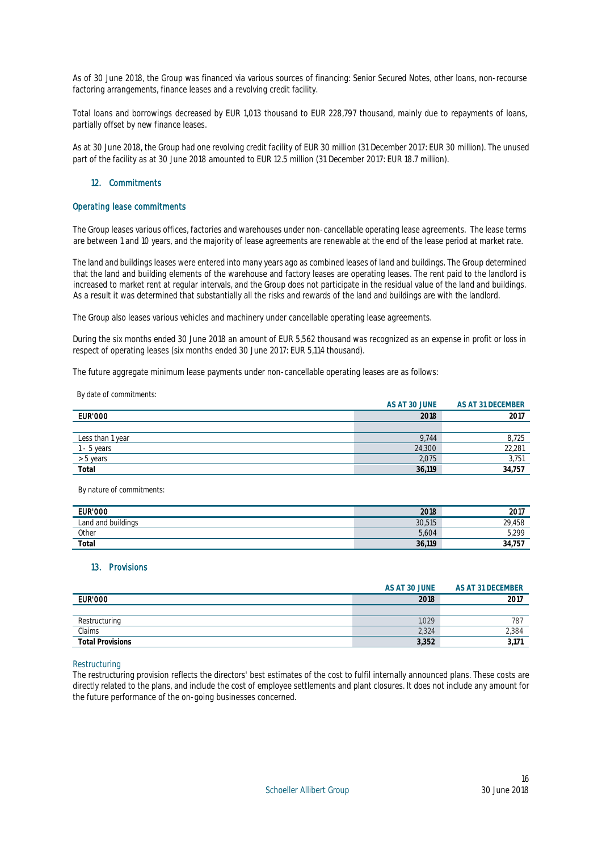As of 30 June 2018, the Group was financed via various sources of financing: Senior Secured Notes, other loans, non-recourse factoring arrangements, finance leases and a revolving credit facility.

Total loans and borrowings decreased by EUR 1,013 thousand to EUR 228,797 thousand, mainly due to repayments of loans, partially offset by new finance leases.

As at 30 June 2018, the Group had one revolving credit facility of EUR 30 million (31 December 2017: EUR 30 million). The unused part of the facility as at 30 June 2018 amounted to EUR 12.5 million (31 December 2017: EUR 18.7 million).

## 12. Commitments

### Operating lease commitments

The Group leases various offices, factories and warehouses under non-cancellable operating lease agreements. The lease terms are between 1 and 10 years, and the majority of lease agreements are renewable at the end of the lease period at market rate.

The land and buildings leases were entered into many years ago as combined leases of land and buildings. The Group determined that the land and building elements of the warehouse and factory leases are operating leases. The rent paid to the landlord is increased to market rent at regular intervals, and the Group does not participate in the residual value of the land and buildings. As a result it was determined that substantially all the risks and rewards of the land and buildings are with the landlord.

The Group also leases various vehicles and machinery under cancellable operating lease agreements.

During the six months ended 30 June 2018 an amount of EUR 5,562 thousand was recognized as an expense in profit or loss in respect of operating leases (six months ended 30 June 2017: EUR 5,114 thousand).

The future aggregate minimum lease payments under non-cancellable operating leases are as follows:

**AS AT 30 JUNE AS AT 31 DECEMBER** EUR'000 **2018 2017** Less than 1 year 8,725 1 - 5 years 22,281 22,281 22 23 23 24,300 22,281 23 24,300 22,281 23 24,300 22,281 23 24,300 22,281 23 24,300 22,281 > 5 years 2,075 3,751 **Total 36,119 34,757**

By nature of commitments:

By date of commitments:

| <b>EUR'000</b>     | 2018        | 2017               |
|--------------------|-------------|--------------------|
| Land and buildings | 30,515      | 29 458<br><u>_</u> |
| Other              | 5,604       | 5,299              |
| Total              | .119<br>36, | - 34<br>ر .        |

#### 13. Provisions

|                         | AS AT 30 JUNE | AS AT 31 DECEMBER |
|-------------------------|---------------|-------------------|
| <b>EUR'000</b>          | 2018          | 2017              |
|                         |               |                   |
| Restructuring           | .029          | 78.               |
| Claims                  | 2,324         | 2,384             |
| <b>Total Provisions</b> | 3,352         |                   |

#### Restructuring

The restructuring provision reflects the directors' best estimates of the cost to fulfil internally announced plans. These costs are directly related to the plans, and include the cost of employee settlements and plant closures. It does not include any amount for the future performance of the on-going businesses concerned.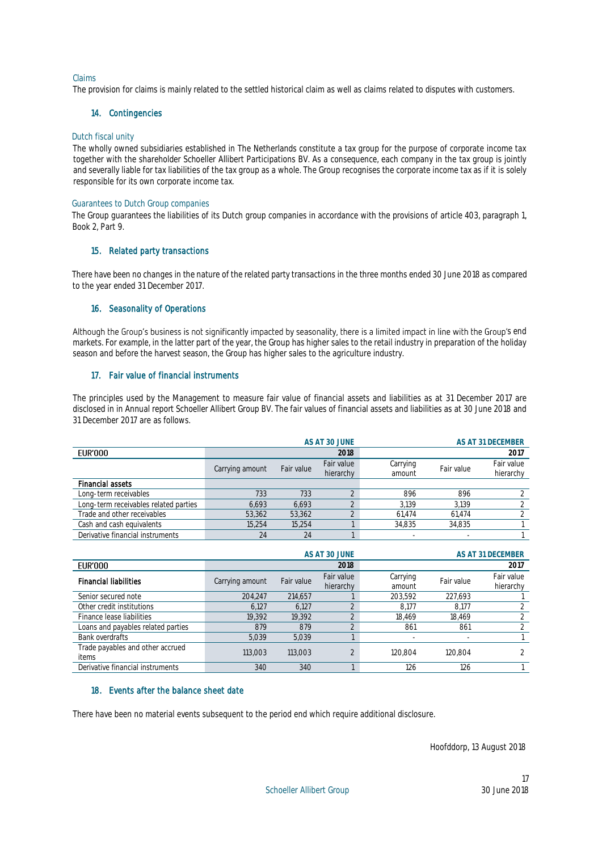## Claims

The provision for claims is mainly related to the settled historical claim as well as claims related to disputes with customers.

## 14. Contingencies

### Dutch fiscal unity

The wholly owned subsidiaries established in The Netherlands constitute a tax group for the purpose of corporate income tax together with the shareholder Schoeller Allibert Participations BV. As a consequence, each company in the tax group is jointly and severally liable for tax liabilities of the tax group as a whole. The Group recognises the corporate income tax as if it is solely responsible for its own corporate income tax.

### Guarantees to Dutch Group companies

The Group guarantees the liabilities of its Dutch group companies in accordance with the provisions of article 403, paragraph 1, Book 2, Part 9.

## 15. Related party transactions

There have been no changes in the nature of the related party transactions in the three months ended 30 June 2018 as compared to the year ended 31 December 2017.

## 16. Seasonality of Operations

Although the Group's business is not significantly impacted by seasonality, there is a limited impact in line with the Group's end markets. For example, in the latter part of the year, the Group has higher sales to the retail industry in preparation of the holiday season and before the harvest season, the Group has higher sales to the agriculture industry.

## 17. Fair value of financial instruments

The principles used by the Management to measure fair value of financial assets and liabilities as at 31 December 2017 are disclosed in in Annual report Schoeller Allibert Group BV. The fair values of financial assets and liabilities as at 30 June 2018 and 31 December 2017 are as follows.

|                                       |                 |            | AS AT 30 JUNE           |                    |            | AS AT 31 DECEMBER       |
|---------------------------------------|-----------------|------------|-------------------------|--------------------|------------|-------------------------|
| EUR'000                               |                 |            | 2018                    |                    |            | 2017                    |
|                                       | Carrying amount | Fair value | Fair value<br>hierarchy | Carrying<br>amount | Fair value | Fair value<br>hierarchy |
| <b>Financial assets</b>               |                 |            |                         |                    |            |                         |
| Long-term receivables                 | 733             | 733        |                         | 896                | 896        |                         |
| Long-term receivables related parties | 6.693           | 6.693      |                         | 3.139              | 3.139      |                         |
| Trade and other receivables           | 53,362          | 53,362     |                         | 61.474             | 61.474     |                         |
| Cash and cash equivalents             | 15.254          | 15.254     |                         | 34.835             | 34.835     |                         |
| Derivative financial instruments      | 24              | 24         |                         |                    |            |                         |

|                                           | AS AT 30 JUNE   |            |                         | AS AT 31 DECEMBER  |            |                         |
|-------------------------------------------|-----------------|------------|-------------------------|--------------------|------------|-------------------------|
| EUR'000                                   |                 |            | 2018                    |                    |            | 2017                    |
| <b>Financial liabilities</b>              | Carrying amount | Fair value | Fair value<br>hierarchy | Carrying<br>amount | Fair value | Fair value<br>hierarchy |
| Senior secured note                       | 204.247         | 214.657    |                         | 203.592            | 227,693    |                         |
| Other credit institutions                 | 6.127           | 6.127      |                         | 8.177              | 8.177      |                         |
| Finance lease liabilities                 | 19.392          | 19.392     |                         | 18.469             | 18.469     |                         |
| Loans and payables related parties        | 879             | 879        |                         | 861                | 861        |                         |
| Bank overdrafts                           | 5.039           | 5.039      |                         |                    |            |                         |
| Trade payables and other accrued<br>items | 113,003         | 113.003    | $\bigcap$               | 120.804            | 120.804    |                         |
| Derivative financial instruments          | 340             | 340        |                         | 126                | 126        |                         |

## 18. Events after the balance sheet date

There have been no material events subsequent to the period end which require additional disclosure.

Hoofddorp, 13 August 2018